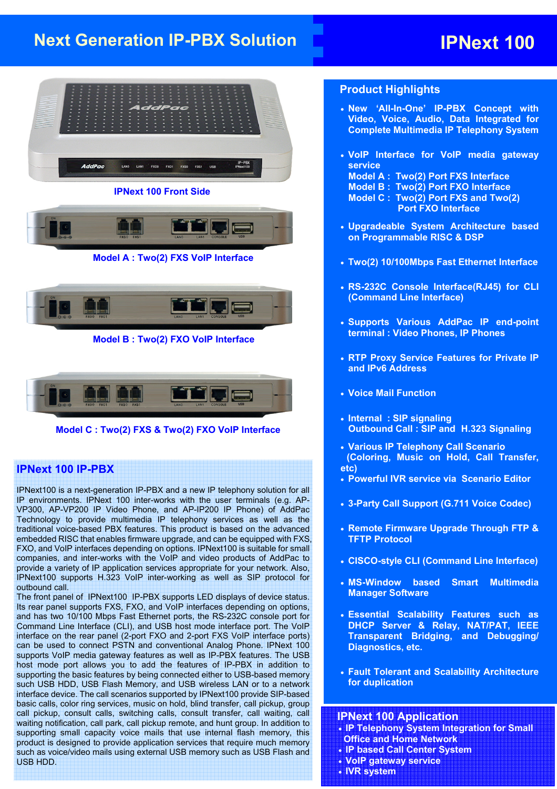# **Next Generation IP-PBX Solution IPNext 100**



**IPNext 100 Front Side** 



**Model A : Two(2) FXS VoIP Interface** 



**Model B : Two(2) FXO VoIP Interface** 



**Model C : Two(2) FXS & Two(2) FXO VoIP Interface** 

#### **IPNext 100 IP-PBX**

IPNext100 is a next-generation IP-PBX and a new IP telephony solution for all IP environments. IPNext 100 inter-works with the user terminals (e.g. AP-VP300, AP-VP200 IP Video Phone, and AP-IP200 IP Phone) of AddPac Technology to provide multimedia IP telephony services as well as the traditional voice-based PBX features. This product is based on the advanced embedded RISC that enables firmware upgrade, and can be equipped with FXS, FXO, and VoIP interfaces depending on options. IPNext100 is suitable for small companies, and inter-works with the VoIP and video products of AddPac to provide a variety of IP application services appropriate for your network. Also, IPNext100 supports H.323 VoIP inter-working as well as SIP protocol for outbound call.

The front panel of IPNext100 IP-PBX supports LED displays of device status. Its rear panel supports FXS, FXO, and VoIP interfaces depending on options, and has two 10/100 Mbps Fast Ethernet ports, the RS-232C console port for Command Line Interface (CLI), and USB host mode interface port. The VoIP interface on the rear panel (2-port FXO and 2-port FXS VoIP interface ports) can be used to connect PSTN and conventional Analog Phone. IPNext 100 supports VoIP media gateway features as well as IP-PBX features. The USB host mode port allows you to add the features of IP-PBX in addition to supporting the basic features by being connected either to USB-based memory such USB HDD, USB Flash Memory, and USB wireless LAN or to a network interface device. The call scenarios supported by IPNext100 provide SIP-based basic calls, color ring services, music on hold, blind transfer, call pickup, group call pickup, consult calls, switching calls, consult transfer, call waiting, call waiting notification, call park, call pickup remote, and hunt group. In addition to supporting small capacity voice mails that use internal flash memory, this product is designed to provide application services that require much memory such as voice/video mails using external USB memory such as USB Flash and USB HDD.

#### **Product Highlights**

- **New 'All-In-One' IP-PBX Concept with Video, Voice, Audio, Data Integrated for Complete Multimedia IP Telephony System**
- **VoIP Interface for VoIP media gateway service Model A : Two(2) Port FXS Interface Model B : Two(2) Port FXO Interface Model C : Two(2) Port FXS and Two(2)** 
	- **Port FXO Interface**
- **Upgradeable System Architecture based on Programmable RISC & DSP**
- **Two(2) 10/100Mbps Fast Ethernet Interface**
- **RS-232C Console Interface(RJ45) for CLI (Command Line Interface)**
- **Supports Various AddPac IP end-point terminal : Video Phones, IP Phones**
- **RTP Proxy Service Features for Private IP and IPv6 Address**
- **Voice Mail Function**
- **Internal : SIP signaling Outbound Call : SIP and H.323 Signaling**
- **Various IP Telephony Call Scenario (Coloring, Music on Hold, Call Transfer, etc)**
- **Powerful IVR service via Scenario Editor**
- **3-Party Call Support (G.711 Voice Codec)**
- **Remote Firmware Upgrade Through FTP & TFTP Protocol**
- **CISCO-style CLI (Command Line Interface)**
- **MS-Window based Smart Multimedia Manager Software**
- **Essential Scalability Features such as DHCP Server & Relay, NAT/PAT, IEEE Transparent Bridging, and Debugging/ Diagnostics, etc.**
- **Fault Tolerant and Scalability Architecture for duplication**

#### **IPNext 100 Application**

- **IP Telephony System Integration for Small Office and Home Network**
- **IP based Call Center System**
- **VoIP gateway service**
- **IVR system**